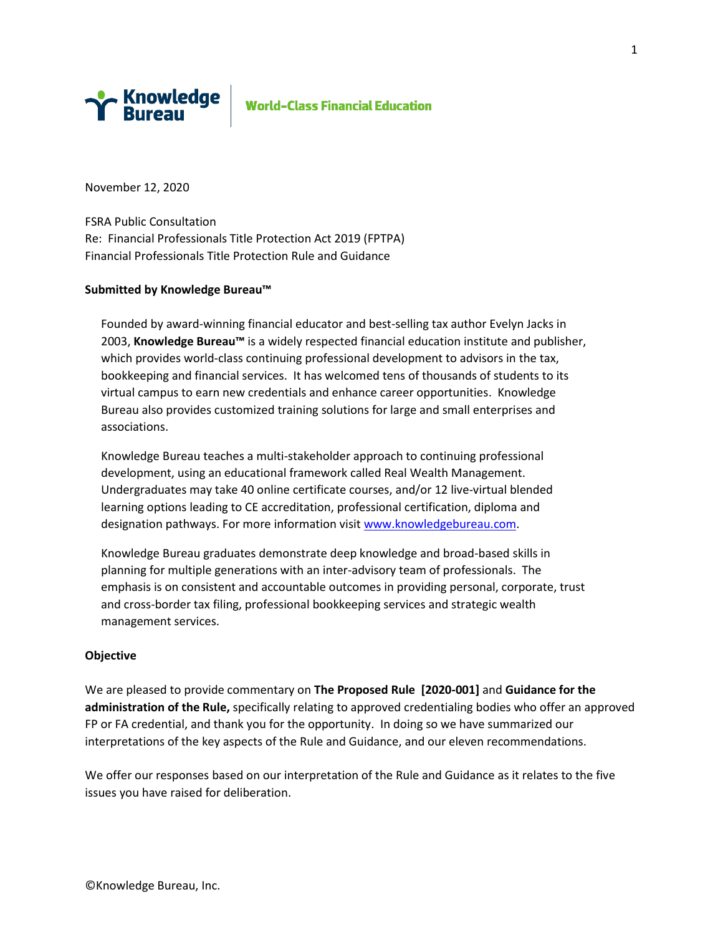

# **World-Class Financial Education**

November 12, 2020

FSRA Public Consultation Re: Financial Professionals Title Protection Act 2019 (FPTPA) Financial Professionals Title Protection Rule and Guidance

#### **Submitted by Knowledge Bureau™**

Founded by award-winning financial educator and best-selling tax author Evelyn Jacks in 2003, **Knowledge Bureau™** is a widely respected financial education institute and publisher, which provides world-class continuing professional development to advisors in the tax, bookkeeping and financial services. It has welcomed tens of thousands of students to its virtual campus to earn new credentials and enhance career opportunities. Knowledge Bureau also provides customized training solutions for large and small enterprises and associations.

Knowledge Bureau teaches a multi-stakeholder approach to continuing professional development, using an educational framework called Real Wealth Management. Undergraduates may take 40 online certificate courses, and/or 12 live-virtual blended learning options leading to CE accreditation, professional certification, diploma and designation pathways. For more information visit [www.knowledgebureau.com.](http://www.knowledgebureau.com/)

Knowledge Bureau graduates demonstrate deep knowledge and broad-based skills in planning for multiple generations with an inter-advisory team of professionals. The emphasis is on consistent and accountable outcomes in providing personal, corporate, trust and cross-border tax filing, professional bookkeeping services and strategic wealth management services.

#### **Objective**

We are pleased to provide commentary on **The Proposed Rule [2020-001]** and **Guidance for the administration of the Rule,** specifically relating to approved credentialing bodies who offer an approved FP or FA credential, and thank you for the opportunity. In doing so we have summarized our interpretations of the key aspects of the Rule and Guidance, and our eleven recommendations.

We offer our responses based on our interpretation of the Rule and Guidance as it relates to the five issues you have raised for deliberation.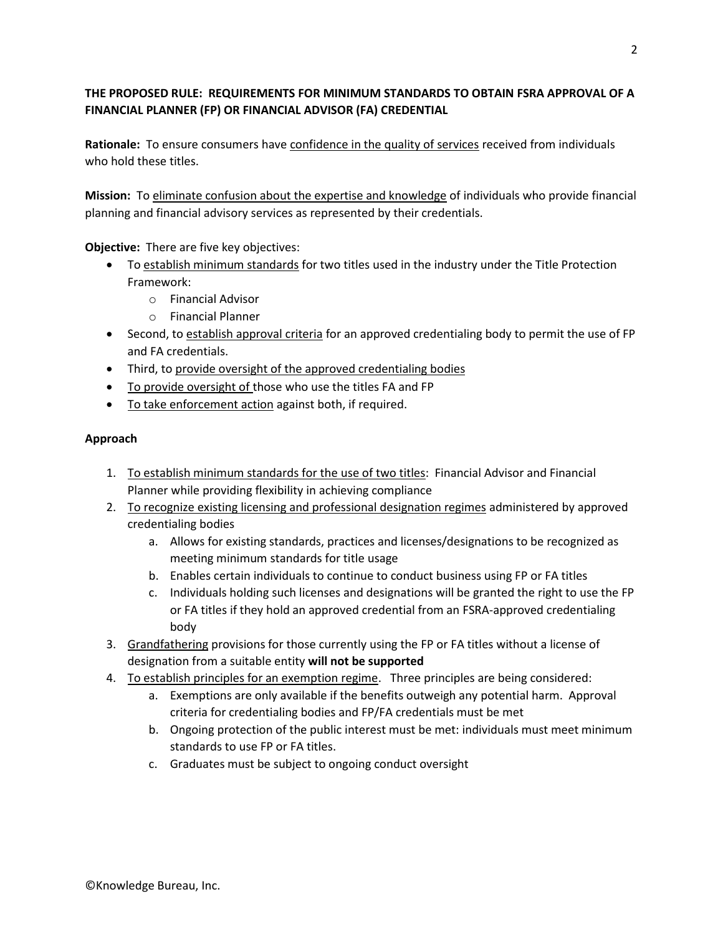# **THE PROPOSED RULE: REQUIREMENTS FOR MINIMUM STANDARDS TO OBTAIN FSRA APPROVAL OF A FINANCIAL PLANNER (FP) OR FINANCIAL ADVISOR (FA) CREDENTIAL**

**Rationale:** To ensure consumers have confidence in the quality of services received from individuals who hold these titles.

**Mission:** To eliminate confusion about the expertise and knowledge of individuals who provide financial planning and financial advisory services as represented by their credentials.

**Objective:** There are five key objectives:

- To establish minimum standards for two titles used in the industry under the Title Protection Framework:
	- o Financial Advisor
	- o Financial Planner
- Second, to establish approval criteria for an approved credentialing body to permit the use of FP and FA credentials.
- Third, to provide oversight of the approved credentialing bodies
- To provide oversight of those who use the titles FA and FP
- To take enforcement action against both, if required.

## **Approach**

- 1. To establish minimum standards for the use of two titles: Financial Advisor and Financial Planner while providing flexibility in achieving compliance
- 2. To recognize existing licensing and professional designation regimes administered by approved credentialing bodies
	- a. Allows for existing standards, practices and licenses/designations to be recognized as meeting minimum standards for title usage
	- b. Enables certain individuals to continue to conduct business using FP or FA titles
	- c. Individuals holding such licenses and designations will be granted the right to use the FP or FA titles if they hold an approved credential from an FSRA-approved credentialing body
- 3. Grandfathering provisions for those currently using the FP or FA titles without a license of designation from a suitable entity **will not be supported**
- 4. To establish principles for an exemption regime. Three principles are being considered:
	- a. Exemptions are only available if the benefits outweigh any potential harm. Approval criteria for credentialing bodies and FP/FA credentials must be met
	- b. Ongoing protection of the public interest must be met: individuals must meet minimum standards to use FP or FA titles.
	- c. Graduates must be subject to ongoing conduct oversight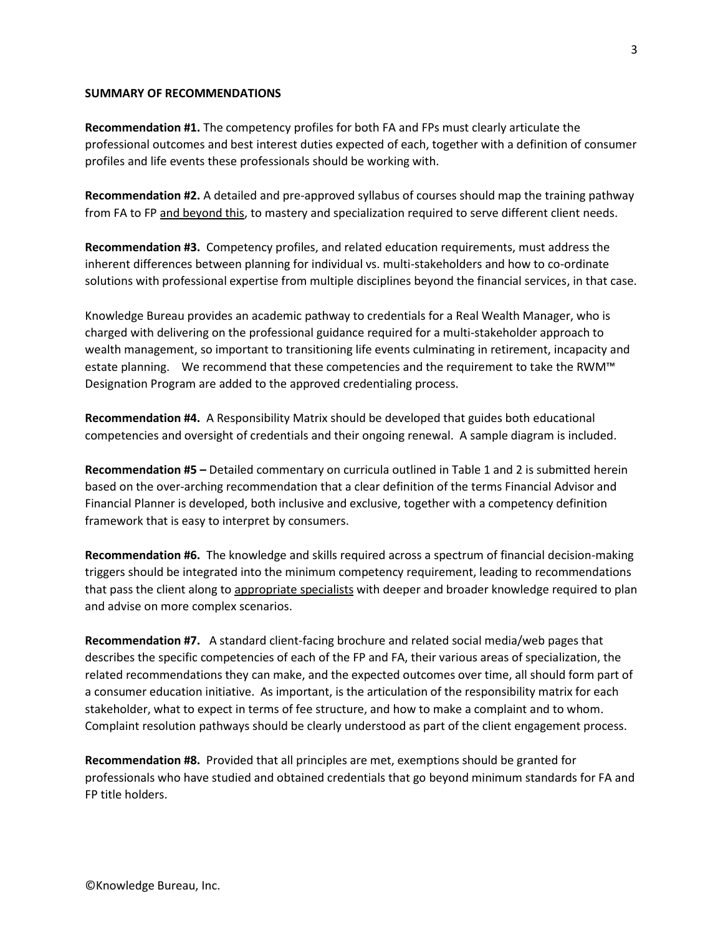#### **SUMMARY OF RECOMMENDATIONS**

**Recommendation #1.** The competency profiles for both FA and FPs must clearly articulate the professional outcomes and best interest duties expected of each, together with a definition of consumer profiles and life events these professionals should be working with.

**Recommendation #2.** A detailed and pre-approved syllabus of courses should map the training pathway from FA to FP and beyond this, to mastery and specialization required to serve different client needs.

**Recommendation #3.** Competency profiles, and related education requirements, must address the inherent differences between planning for individual vs. multi-stakeholders and how to co-ordinate solutions with professional expertise from multiple disciplines beyond the financial services, in that case.

Knowledge Bureau provides an academic pathway to credentials for a Real Wealth Manager, who is charged with delivering on the professional guidance required for a multi-stakeholder approach to wealth management, so important to transitioning life events culminating in retirement, incapacity and estate planning. We recommend that these competencies and the requirement to take the RWM™ Designation Program are added to the approved credentialing process.

**Recommendation #4.** A Responsibility Matrix should be developed that guides both educational competencies and oversight of credentials and their ongoing renewal. A sample diagram is included.

**Recommendation #5 –** Detailed commentary on curricula outlined in Table 1 and 2 is submitted herein based on the over-arching recommendation that a clear definition of the terms Financial Advisor and Financial Planner is developed, both inclusive and exclusive, together with a competency definition framework that is easy to interpret by consumers.

**Recommendation #6.** The knowledge and skills required across a spectrum of financial decision-making triggers should be integrated into the minimum competency requirement, leading to recommendations that pass the client along to appropriate specialists with deeper and broader knowledge required to plan and advise on more complex scenarios.

**Recommendation #7.** A standard client-facing brochure and related social media/web pages that describes the specific competencies of each of the FP and FA, their various areas of specialization, the related recommendations they can make, and the expected outcomes over time, all should form part of a consumer education initiative. As important, is the articulation of the responsibility matrix for each stakeholder, what to expect in terms of fee structure, and how to make a complaint and to whom. Complaint resolution pathways should be clearly understood as part of the client engagement process.

**Recommendation #8.** Provided that all principles are met, exemptions should be granted for professionals who have studied and obtained credentials that go beyond minimum standards for FA and FP title holders.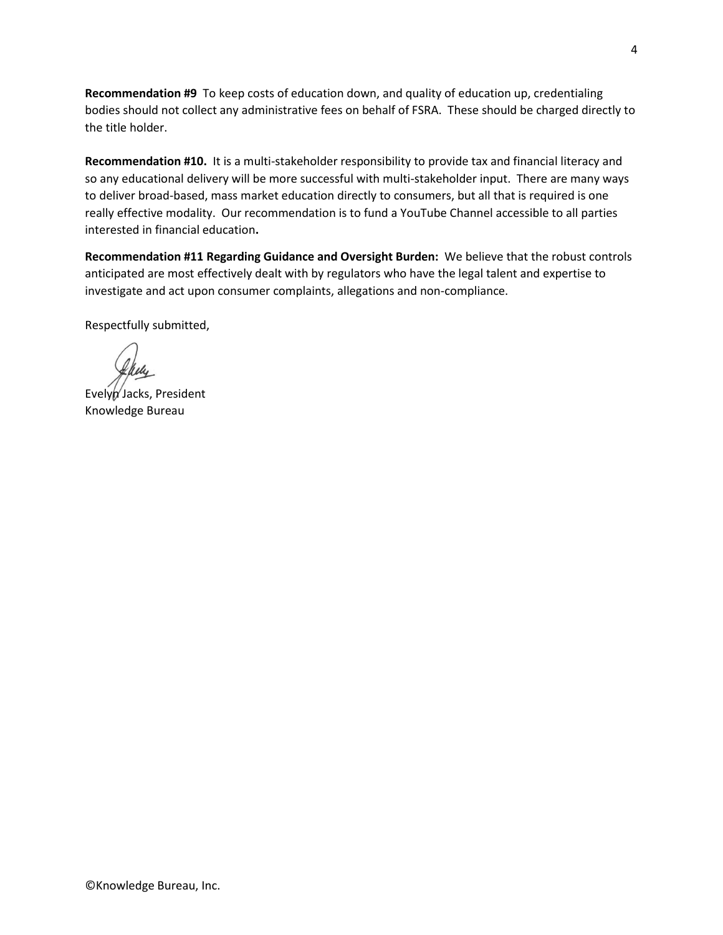**Recommendation #9** To keep costs of education down, and quality of education up, credentialing bodies should not collect any administrative fees on behalf of FSRA. These should be charged directly to the title holder.

**Recommendation #10.** It is a multi-stakeholder responsibility to provide tax and financial literacy and so any educational delivery will be more successful with multi-stakeholder input. There are many ways to deliver broad-based, mass market education directly to consumers, but all that is required is one really effective modality. Our recommendation is to fund a YouTube Channel accessible to all parties interested in financial education**.**

**Recommendation #11 Regarding Guidance and Oversight Burden:** We believe that the robust controls anticipated are most effectively dealt with by regulators who have the legal talent and expertise to investigate and act upon consumer complaints, allegations and non-compliance.

Respectfully submitted,

Evelyn Jacks, President Knowledge Bureau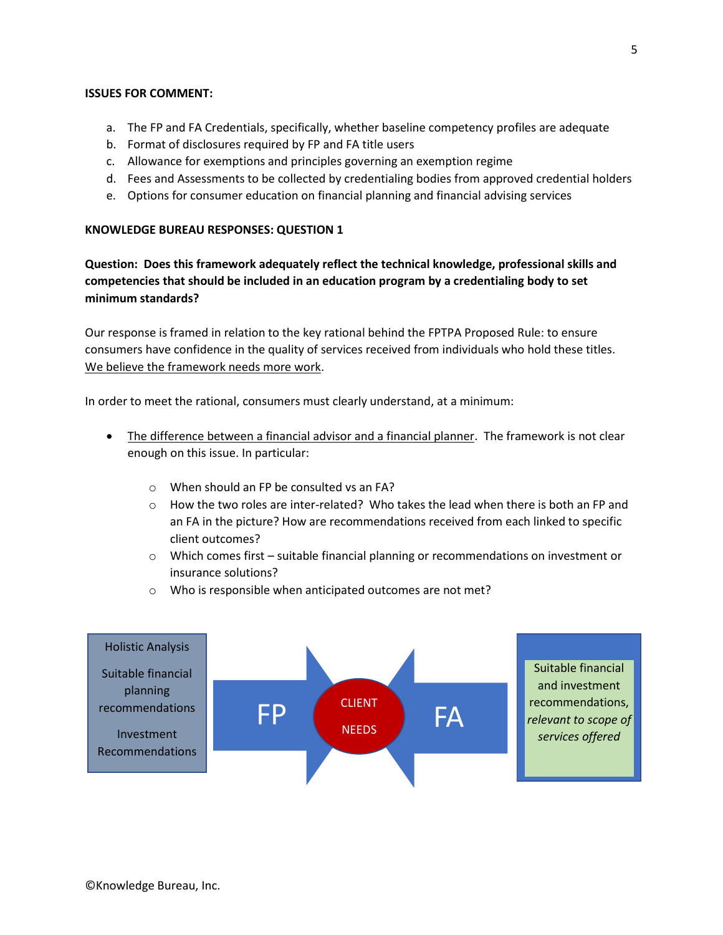#### **ISSUES FOR COMMENT:**

- a. The FP and FA Credentials, specifically, whether baseline competency profiles are adequate
- b. Format of disclosures required by FP and FA title users
- c. Allowance for exemptions and principles governing an exemption regime
- d. Fees and Assessments to be collected by credentialing bodies from approved credential holders
- e. Options for consumer education on financial planning and financial advising services

#### **KNOWLEDGE BUREAU RESPONSES: QUESTION 1**

**Question: Does this framework adequately reflect the technical knowledge, professional skills and competencies that should be included in an education program by a credentialing body to set minimum standards?**

Our response is framed in relation to the key rational behind the FPTPA Proposed Rule: to ensure consumers have confidence in the quality of services received from individuals who hold these titles. We believe the framework needs more work.

In order to meet the rational, consumers must clearly understand, at a minimum:

- The difference between a financial advisor and a financial planner. The framework is not clear enough on this issue. In particular:
	- o When should an FP be consulted vs an FA?
	- $\circ$  How the two roles are inter-related? Who takes the lead when there is both an FP and an FA in the picture? How are recommendations received from each linked to specific client outcomes?
	- $\circ$  Which comes first suitable financial planning or recommendations on investment or insurance solutions?
	- o Who is responsible when anticipated outcomes are not met?

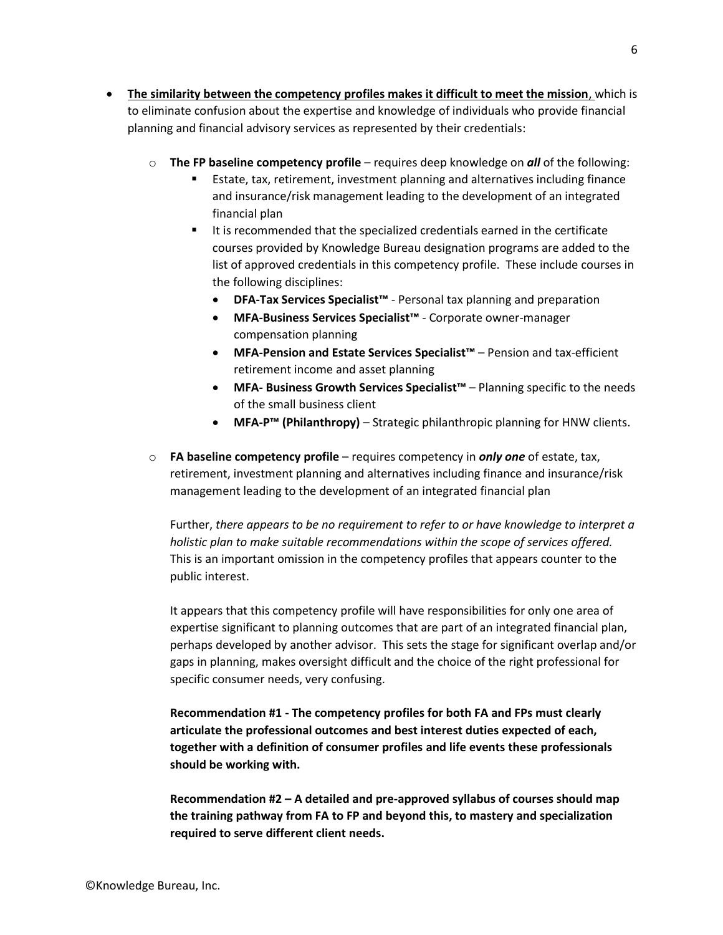- **The similarity between the competency profiles makes it difficult to meet the mission**, which is to eliminate confusion about the expertise and knowledge of individuals who provide financial planning and financial advisory services as represented by their credentials:
	- o **The FP baseline competency profile** requires deep knowledge on *all* of the following:
		- Estate, tax, retirement, investment planning and alternatives including finance and insurance/risk management leading to the development of an integrated financial plan
		- It is recommended that the specialized credentials earned in the certificate courses provided by Knowledge Bureau designation programs are added to the list of approved credentials in this competency profile. These include courses in the following disciplines:
			- **DFA-Tax Services Specialist™** Personal tax planning and preparation
			- **MFA-Business Services Specialist™** Corporate owner-manager compensation planning
			- **MFA-Pension and Estate Services Specialist™** Pension and tax-efficient retirement income and asset planning
			- **MFA- Business Growth Services Specialist™** Planning specific to the needs of the small business client
			- **MFA-P™ (Philanthropy)** Strategic philanthropic planning for HNW clients.
	- o **FA baseline competency profile** requires competency in *only one* of estate, tax, retirement, investment planning and alternatives including finance and insurance/risk management leading to the development of an integrated financial plan

Further, *there appears to be no requirement to refer to or have knowledge to interpret a holistic plan to make suitable recommendations within the scope of services offered.* This is an important omission in the competency profiles that appears counter to the public interest.

It appears that this competency profile will have responsibilities for only one area of expertise significant to planning outcomes that are part of an integrated financial plan, perhaps developed by another advisor. This sets the stage for significant overlap and/or gaps in planning, makes oversight difficult and the choice of the right professional for specific consumer needs, very confusing.

**Recommendation #1 - The competency profiles for both FA and FPs must clearly articulate the professional outcomes and best interest duties expected of each, together with a definition of consumer profiles and life events these professionals should be working with.** 

**Recommendation #2 – A detailed and pre-approved syllabus of courses should map the training pathway from FA to FP and beyond this, to mastery and specialization required to serve different client needs.**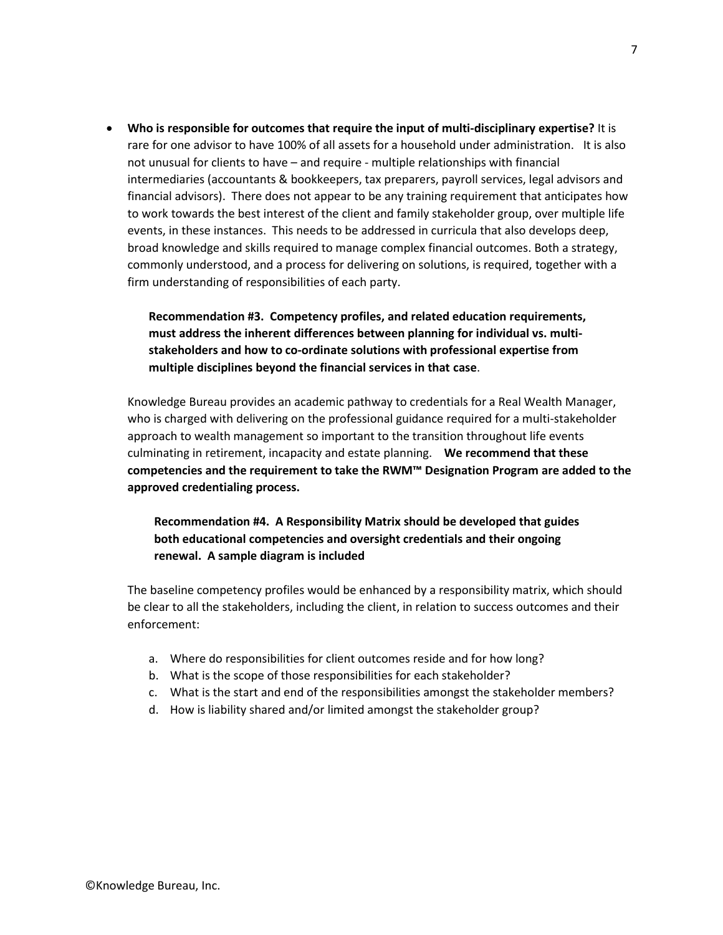• **Who is responsible for outcomes that require the input of multi-disciplinary expertise?** It is rare for one advisor to have 100% of all assets for a household under administration. It is also not unusual for clients to have – and require - multiple relationships with financial intermediaries (accountants & bookkeepers, tax preparers, payroll services, legal advisors and financial advisors). There does not appear to be any training requirement that anticipates how to work towards the best interest of the client and family stakeholder group, over multiple life events, in these instances. This needs to be addressed in curricula that also develops deep, broad knowledge and skills required to manage complex financial outcomes. Both a strategy, commonly understood, and a process for delivering on solutions, is required, together with a firm understanding of responsibilities of each party.

# **Recommendation #3. Competency profiles, and related education requirements, must address the inherent differences between planning for individual vs. multistakeholders and how to co-ordinate solutions with professional expertise from multiple disciplines beyond the financial services in that case**.

Knowledge Bureau provides an academic pathway to credentials for a Real Wealth Manager, who is charged with delivering on the professional guidance required for a multi-stakeholder approach to wealth management so important to the transition throughout life events culminating in retirement, incapacity and estate planning. **We recommend that these competencies and the requirement to take the RWM™ Designation Program are added to the approved credentialing process.**

**Recommendation #4. A Responsibility Matrix should be developed that guides both educational competencies and oversight credentials and their ongoing renewal. A sample diagram is included**

The baseline competency profiles would be enhanced by a responsibility matrix, which should be clear to all the stakeholders, including the client, in relation to success outcomes and their enforcement:

- a. Where do responsibilities for client outcomes reside and for how long?
- b. What is the scope of those responsibilities for each stakeholder?
- c. What is the start and end of the responsibilities amongst the stakeholder members?
- d. How is liability shared and/or limited amongst the stakeholder group?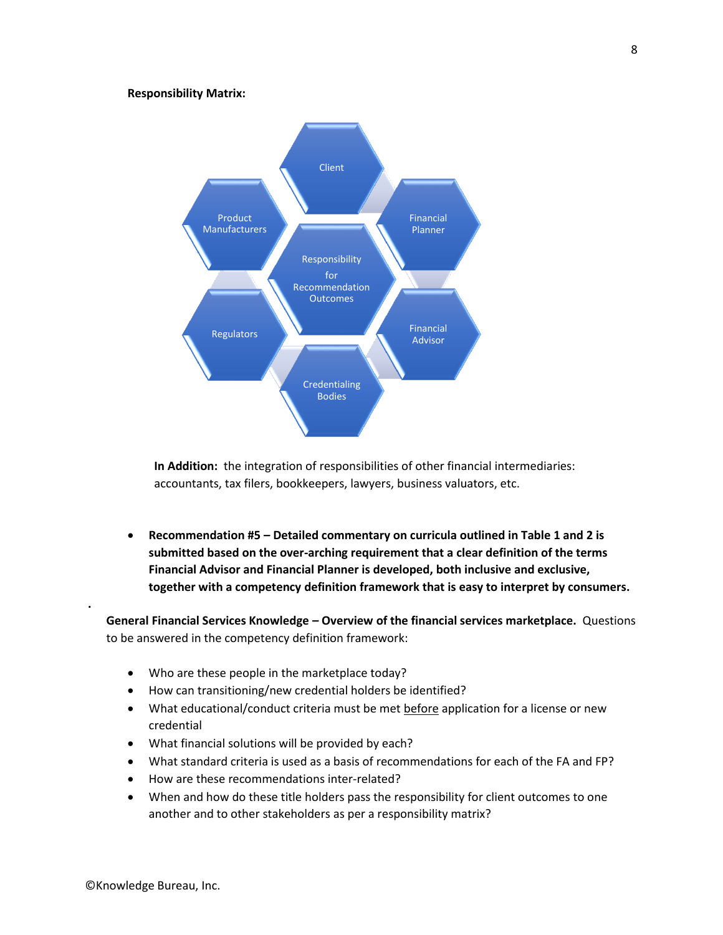#### **Responsibility Matrix:**



**In Addition:** the integration of responsibilities of other financial intermediaries: accountants, tax filers, bookkeepers, lawyers, business valuators, etc.

• **Recommendation #5 – Detailed commentary on curricula outlined in Table 1 and 2 is submitted based on the over-arching requirement that a clear definition of the terms Financial Advisor and Financial Planner is developed, both inclusive and exclusive, together with a competency definition framework that is easy to interpret by consumers.** 

**General Financial Services Knowledge – Overview of the financial services marketplace.** Questions to be answered in the competency definition framework:

- Who are these people in the marketplace today?
- How can transitioning/new credential holders be identified?
- What educational/conduct criteria must be met before application for a license or new credential
- What financial solutions will be provided by each?
- What standard criteria is used as a basis of recommendations for each of the FA and FP?
- How are these recommendations inter-related?
- When and how do these title holders pass the responsibility for client outcomes to one another and to other stakeholders as per a responsibility matrix?

**.**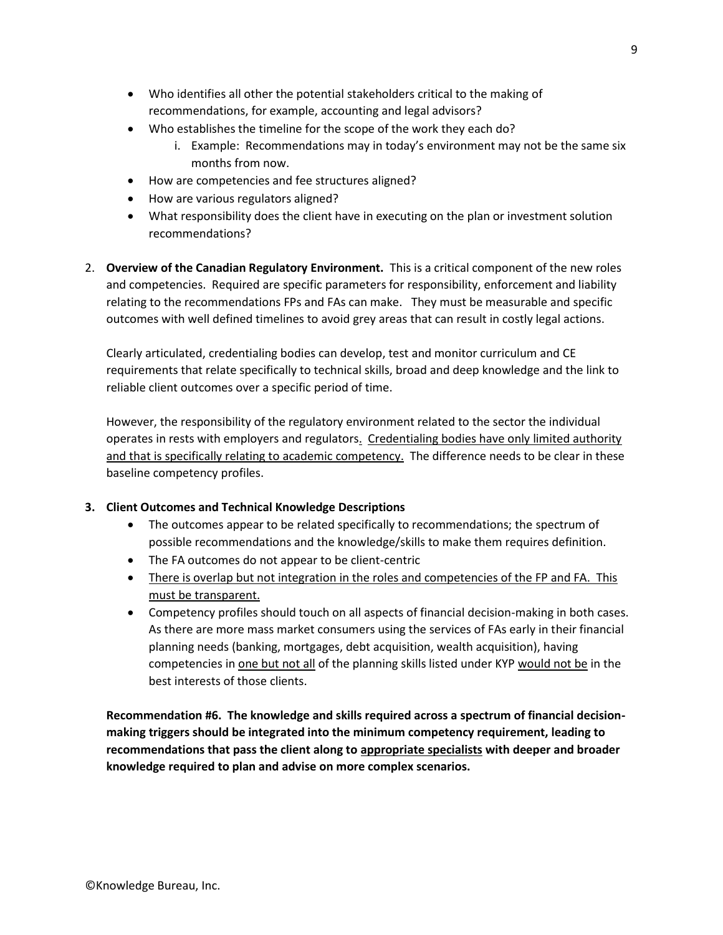- Who identifies all other the potential stakeholders critical to the making of recommendations, for example, accounting and legal advisors?
- Who establishes the timeline for the scope of the work they each do?
	- i. Example: Recommendations may in today's environment may not be the same six months from now.
- How are competencies and fee structures aligned?
- How are various regulators aligned?
- What responsibility does the client have in executing on the plan or investment solution recommendations?
- 2. **Overview of the Canadian Regulatory Environment.** This is a critical component of the new roles and competencies. Required are specific parameters for responsibility, enforcement and liability relating to the recommendations FPs and FAs can make. They must be measurable and specific outcomes with well defined timelines to avoid grey areas that can result in costly legal actions.

Clearly articulated, credentialing bodies can develop, test and monitor curriculum and CE requirements that relate specifically to technical skills, broad and deep knowledge and the link to reliable client outcomes over a specific period of time.

However, the responsibility of the regulatory environment related to the sector the individual operates in rests with employers and regulators. Credentialing bodies have only limited authority and that is specifically relating to academic competency. The difference needs to be clear in these baseline competency profiles.

### **3. Client Outcomes and Technical Knowledge Descriptions**

- The outcomes appear to be related specifically to recommendations; the spectrum of possible recommendations and the knowledge/skills to make them requires definition.
- The FA outcomes do not appear to be client-centric
- There is overlap but not integration in the roles and competencies of the FP and FA. This must be transparent.
- Competency profiles should touch on all aspects of financial decision-making in both cases. As there are more mass market consumers using the services of FAs early in their financial planning needs (banking, mortgages, debt acquisition, wealth acquisition), having competencies in one but not all of the planning skills listed under KYP would not be in the best interests of those clients.

**Recommendation #6. The knowledge and skills required across a spectrum of financial decisionmaking triggers should be integrated into the minimum competency requirement, leading to recommendations that pass the client along to appropriate specialists with deeper and broader knowledge required to plan and advise on more complex scenarios.**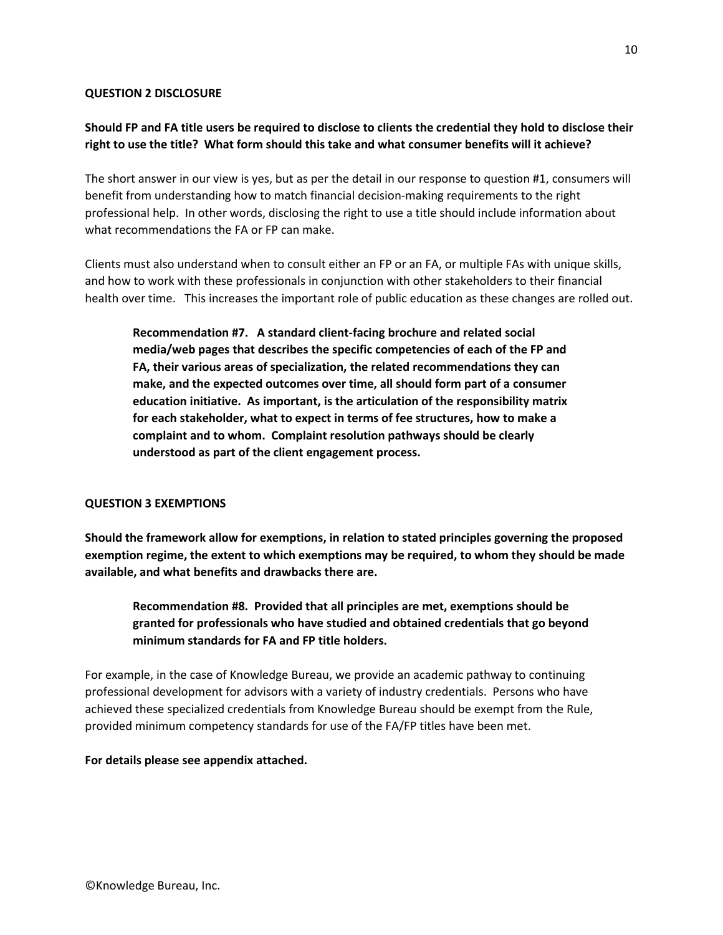#### **QUESTION 2 DISCLOSURE**

## **Should FP and FA title users be required to disclose to clients the credential they hold to disclose their right to use the title? What form should this take and what consumer benefits will it achieve?**

The short answer in our view is yes, but as per the detail in our response to question #1, consumers will benefit from understanding how to match financial decision-making requirements to the right professional help. In other words, disclosing the right to use a title should include information about what recommendations the FA or FP can make.

Clients must also understand when to consult either an FP or an FA, or multiple FAs with unique skills, and how to work with these professionals in conjunction with other stakeholders to their financial health over time. This increases the important role of public education as these changes are rolled out.

**Recommendation #7. A standard client-facing brochure and related social media/web pages that describes the specific competencies of each of the FP and FA, their various areas of specialization, the related recommendations they can make, and the expected outcomes over time, all should form part of a consumer education initiative. As important, is the articulation of the responsibility matrix for each stakeholder, what to expect in terms of fee structures, how to make a complaint and to whom. Complaint resolution pathways should be clearly understood as part of the client engagement process.** 

### **QUESTION 3 EXEMPTIONS**

**Should the framework allow for exemptions, in relation to stated principles governing the proposed exemption regime, the extent to which exemptions may be required, to whom they should be made available, and what benefits and drawbacks there are.** 

**Recommendation #8. Provided that all principles are met, exemptions should be granted for professionals who have studied and obtained credentials that go beyond minimum standards for FA and FP title holders.**

For example, in the case of Knowledge Bureau, we provide an academic pathway to continuing professional development for advisors with a variety of industry credentials. Persons who have achieved these specialized credentials from Knowledge Bureau should be exempt from the Rule, provided minimum competency standards for use of the FA/FP titles have been met.

#### **For details please see appendix attached.**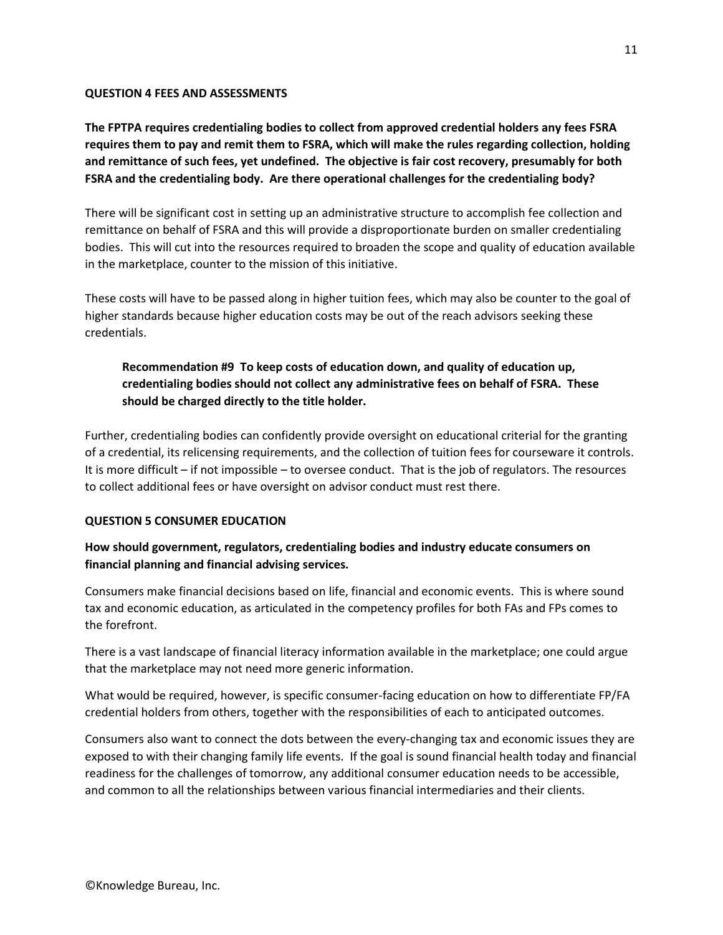#### **QUESTION 4 FEES AND ASSESSMENTS**

**The FPTPA requires credentialing bodies to collect from approved credential holders any fees FSRA requires them to pay and remit them to FSRA, which will make the rules regarding collection, holding and remittance of such fees, yet undefined. The objective is fair cost recovery, presumably for both FSRA and the credentialing body. Are there operational challenges for the credentialing body?**

There will be significant cost in setting up an administrative structure to accomplish fee collection and remittance on behalf of FSRA and this will provide a disproportionate burden on smaller credentialing bodies. This will cut into the resources required to broaden the scope and quality of education available in the marketplace, counter to the mission of this initiative.

These costs will have to be passed along in higher tuition fees, which may also be counter to the goal of higher standards because higher education costs may be out of the reach advisors seeking these credentials.

# **Recommendation #9 To keep costs of education down, and quality of education up, credentialing bodies should not collect any administrative fees on behalf of FSRA. These should be charged directly to the title holder.**

Further, credentialing bodies can confidently provide oversight on educational criterial for the granting of a credential, its relicensing requirements, and the collection of tuition fees for courseware it controls. It is more difficult – if not impossible – to oversee conduct. That is the job of regulators. The resources to collect additional fees or have oversight on advisor conduct must rest there.

### **QUESTION 5 CONSUMER EDUCATION**

## **How should government, regulators, credentialing bodies and industry educate consumers on financial planning and financial advising services.**

Consumers make financial decisions based on life, financial and economic events. This is where sound tax and economic education, as articulated in the competency profiles for both FAs and FPs comes to the forefront.

There is a vast landscape of financial literacy information available in the marketplace; one could argue that the marketplace may not need more generic information.

What would be required, however, is specific consumer-facing education on how to differentiate FP/FA credential holders from others, together with the responsibilities of each to anticipated outcomes.

Consumers also want to connect the dots between the every-changing tax and economic issues they are exposed to with their changing family life events. If the goal is sound financial health today and financial readiness for the challenges of tomorrow, any additional consumer education needs to be accessible, and common to all the relationships between various financial intermediaries and their clients.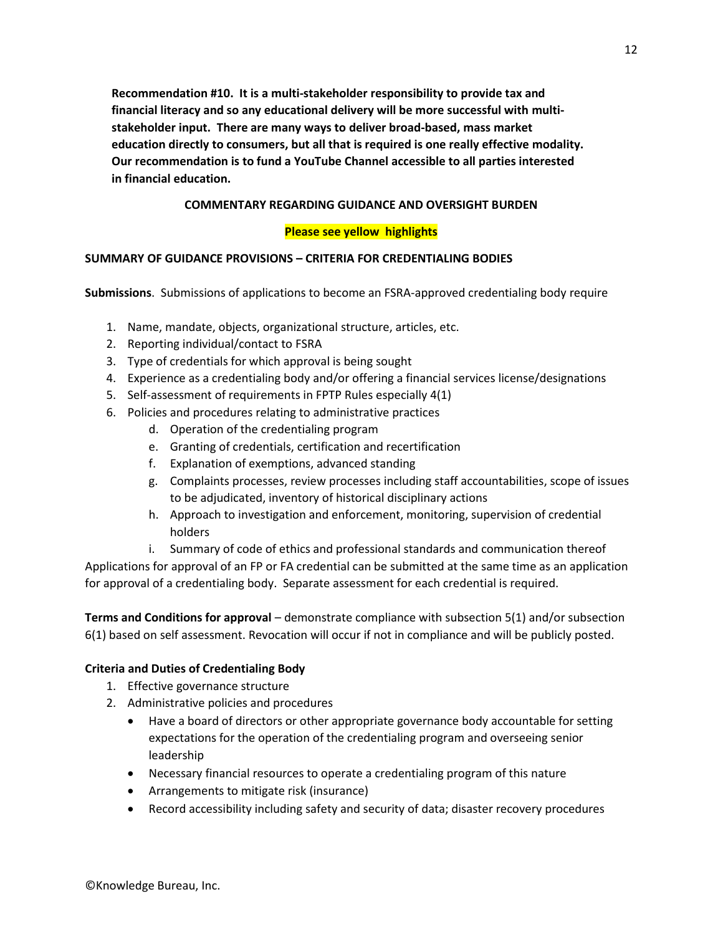**Recommendation #10. It is a multi-stakeholder responsibility to provide tax and financial literacy and so any educational delivery will be more successful with multistakeholder input. There are many ways to deliver broad-based, mass market education directly to consumers, but all that is required is one really effective modality. Our recommendation is to fund a YouTube Channel accessible to all parties interested in financial education.**

### **COMMENTARY REGARDING GUIDANCE AND OVERSIGHT BURDEN**

### **Please see yellow highlights**

### **SUMMARY OF GUIDANCE PROVISIONS – CRITERIA FOR CREDENTIALING BODIES**

**Submissions**. Submissions of applications to become an FSRA-approved credentialing body require

- 1. Name, mandate, objects, organizational structure, articles, etc.
- 2. Reporting individual/contact to FSRA
- 3. Type of credentials for which approval is being sought
- 4. Experience as a credentialing body and/or offering a financial services license/designations
- 5. Self-assessment of requirements in FPTP Rules especially 4(1)
- 6. Policies and procedures relating to administrative practices
	- d. Operation of the credentialing program
	- e. Granting of credentials, certification and recertification
	- f. Explanation of exemptions, advanced standing
	- g. Complaints processes, review processes including staff accountabilities, scope of issues to be adjudicated, inventory of historical disciplinary actions
	- h. Approach to investigation and enforcement, monitoring, supervision of credential holders
	- i. Summary of code of ethics and professional standards and communication thereof

Applications for approval of an FP or FA credential can be submitted at the same time as an application for approval of a credentialing body. Separate assessment for each credential is required.

**Terms and Conditions for approval** – demonstrate compliance with subsection 5(1) and/or subsection 6(1) based on self assessment. Revocation will occur if not in compliance and will be publicly posted.

### **Criteria and Duties of Credentialing Body**

- 1. Effective governance structure
- 2. Administrative policies and procedures
	- Have a board of directors or other appropriate governance body accountable for setting expectations for the operation of the credentialing program and overseeing senior leadership
	- Necessary financial resources to operate a credentialing program of this nature
	- Arrangements to mitigate risk (insurance)
	- Record accessibility including safety and security of data; disaster recovery procedures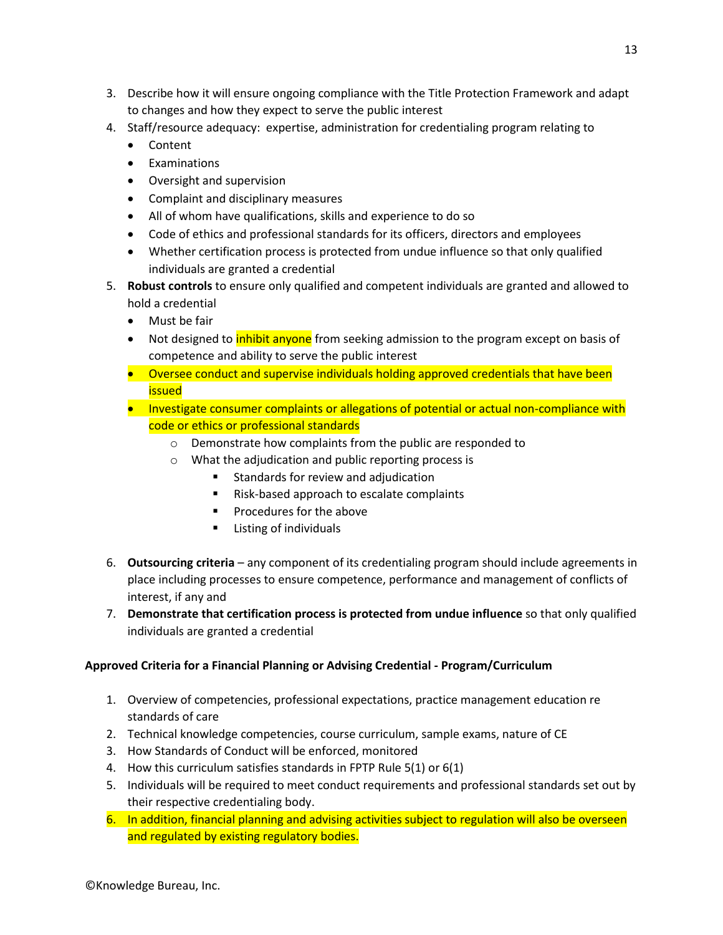- 3. Describe how it will ensure ongoing compliance with the Title Protection Framework and adapt to changes and how they expect to serve the public interest
- 4. Staff/resource adequacy: expertise, administration for credentialing program relating to
	- Content
	- Examinations
	- Oversight and supervision
	- Complaint and disciplinary measures
	- All of whom have qualifications, skills and experience to do so
	- Code of ethics and professional standards for its officers, directors and employees
	- Whether certification process is protected from undue influence so that only qualified individuals are granted a credential
- 5. **Robust controls** to ensure only qualified and competent individuals are granted and allowed to hold a credential
	- Must be fair
	- Not designed to *inhibit anyone* from seeking admission to the program except on basis of competence and ability to serve the public interest
	- Oversee conduct and supervise individuals holding approved credentials that have been issued
	- Investigate consumer complaints or allegations of potential or actual non-compliance with code or ethics or professional standards
		- o Demonstrate how complaints from the public are responded to
		- o What the adjudication and public reporting process is
			- Standards for review and adjudication
			- Risk-based approach to escalate complaints
			- Procedures for the above
			- Listing of individuals
- 6. **Outsourcing criteria** any component of its credentialing program should include agreements in place including processes to ensure competence, performance and management of conflicts of interest, if any and
- 7. **Demonstrate that certification process is protected from undue influence** so that only qualified individuals are granted a credential

## **Approved Criteria for a Financial Planning or Advising Credential - Program/Curriculum**

- 1. Overview of competencies, professional expectations, practice management education re standards of care
- 2. Technical knowledge competencies, course curriculum, sample exams, nature of CE
- 3. How Standards of Conduct will be enforced, monitored
- 4. How this curriculum satisfies standards in FPTP Rule 5(1) or 6(1)
- 5. Individuals will be required to meet conduct requirements and professional standards set out by their respective credentialing body.
- 6. In addition, financial planning and advising activities subject to regulation will also be overseen and regulated by existing regulatory bodies.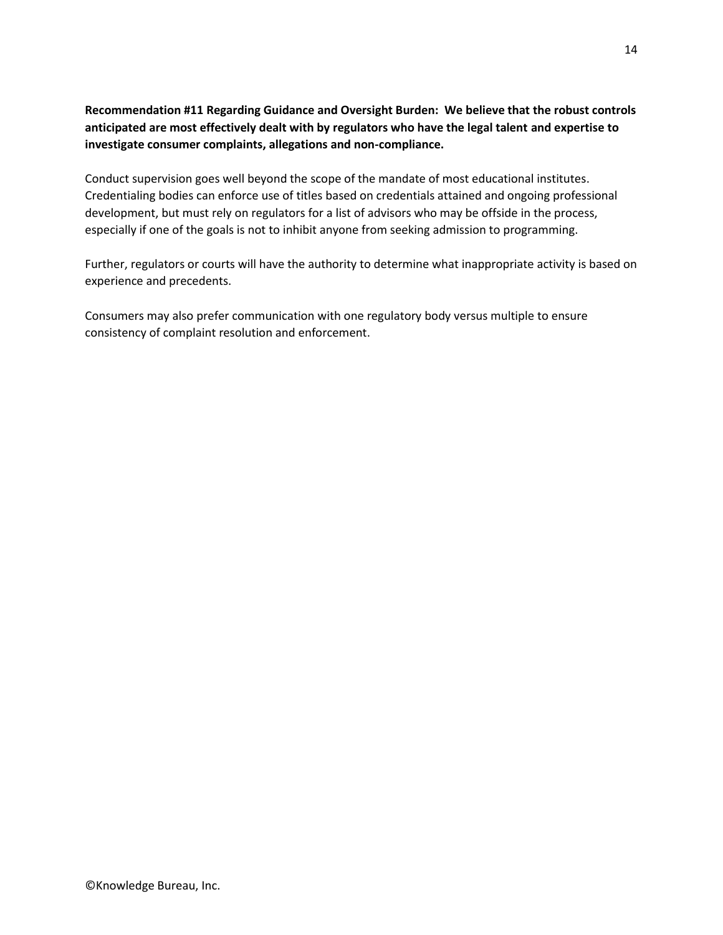# **Recommendation #11 Regarding Guidance and Oversight Burden: We believe that the robust controls anticipated are most effectively dealt with by regulators who have the legal talent and expertise to investigate consumer complaints, allegations and non-compliance.**

Conduct supervision goes well beyond the scope of the mandate of most educational institutes. Credentialing bodies can enforce use of titles based on credentials attained and ongoing professional development, but must rely on regulators for a list of advisors who may be offside in the process, especially if one of the goals is not to inhibit anyone from seeking admission to programming.

Further, regulators or courts will have the authority to determine what inappropriate activity is based on experience and precedents.

Consumers may also prefer communication with one regulatory body versus multiple to ensure consistency of complaint resolution and enforcement.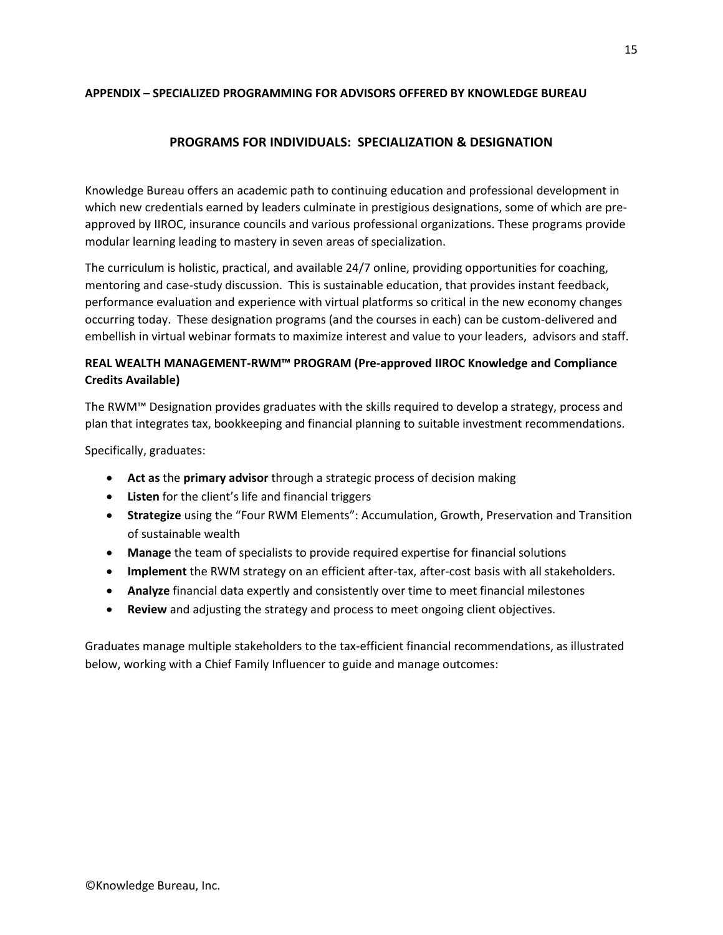### **APPENDIX – SPECIALIZED PROGRAMMING FOR ADVISORS OFFERED BY KNOWLEDGE BUREAU**

# **PROGRAMS FOR INDIVIDUALS: SPECIALIZATION & DESIGNATION**

Knowledge Bureau offers an academic path to continuing education and professional development in which new credentials earned by leaders culminate in prestigious designations, some of which are preapproved by IIROC, insurance councils and various professional organizations. These programs provide modular learning leading to mastery in seven areas of specialization.

The curriculum is holistic, practical, and available 24/7 online, providing opportunities for coaching, mentoring and case-study discussion. This is sustainable education, that provides instant feedback, performance evaluation and experience with virtual platforms so critical in the new economy changes occurring today. These designation programs (and the courses in each) can be custom-delivered and embellish in virtual webinar formats to maximize interest and value to your leaders, advisors and staff.

# **REAL WEALTH MANAGEMENT-RWM™ PROGRAM (Pre-approved IIROC Knowledge and Compliance Credits Available)**

The RWM™ Designation provides graduates with the skills required to develop a strategy, process and plan that integrates tax, bookkeeping and financial planning to suitable investment recommendations.

Specifically, graduates:

- **Act as** the **primary advisor** through a strategic process of decision making
- **Listen** for the client's life and financial triggers
- **Strategize** using the "Four RWM Elements": Accumulation, Growth, Preservation and Transition of sustainable wealth
- **Manage** the team of specialists to provide required expertise for financial solutions
- **Implement** the RWM strategy on an efficient after-tax, after-cost basis with all stakeholders.
- **Analyze** financial data expertly and consistently over time to meet financial milestones
- **Review** and adjusting the strategy and process to meet ongoing client objectives.

Graduates manage multiple stakeholders to the tax-efficient financial recommendations, as illustrated below, working with a Chief Family Influencer to guide and manage outcomes: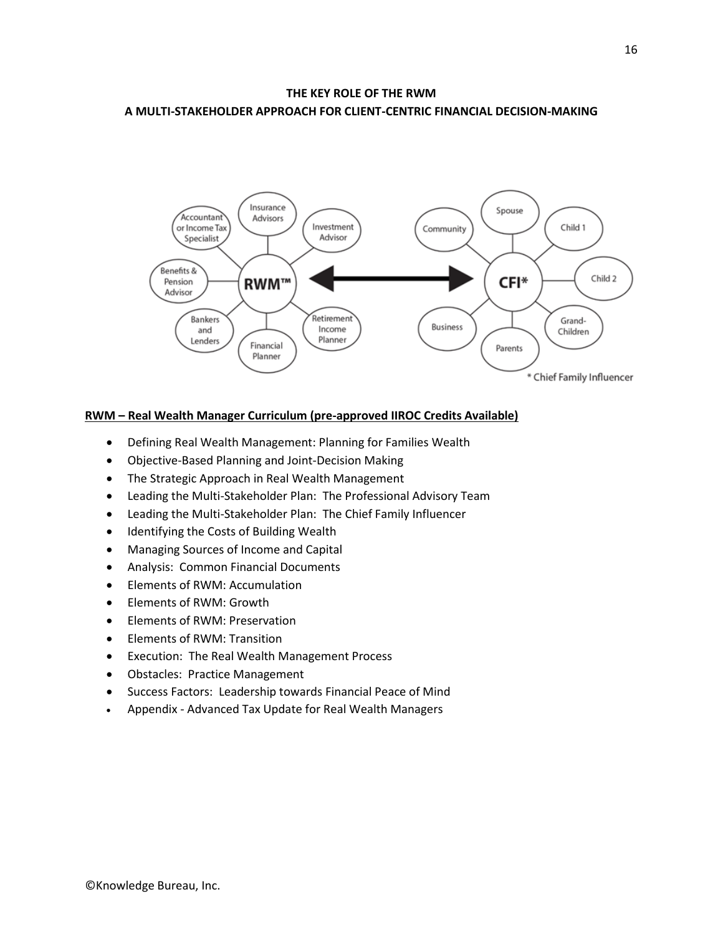# **THE KEY ROLE OF THE RWM A MULTI-STAKEHOLDER APPROACH FOR CLIENT-CENTRIC FINANCIAL DECISION-MAKING**



### **RWM – Real Wealth Manager Curriculum (pre-approved IIROC Credits Available)**

- Defining Real Wealth Management: Planning for Families Wealth
- Objective-Based Planning and Joint-Decision Making
- The Strategic Approach in Real Wealth Management
- Leading the Multi-Stakeholder Plan: The Professional Advisory Team
- Leading the Multi-Stakeholder Plan: The Chief Family Influencer
- Identifying the Costs of Building Wealth
- Managing Sources of Income and Capital
- Analysis: Common Financial Documents
- Elements of RWM: Accumulation
- Elements of RWM: Growth
- Elements of RWM: Preservation
- Elements of RWM: Transition
- Execution: The Real Wealth Management Process
- Obstacles: Practice Management
- Success Factors: Leadership towards Financial Peace of Mind
- Appendix Advanced Tax Update for Real Wealth Managers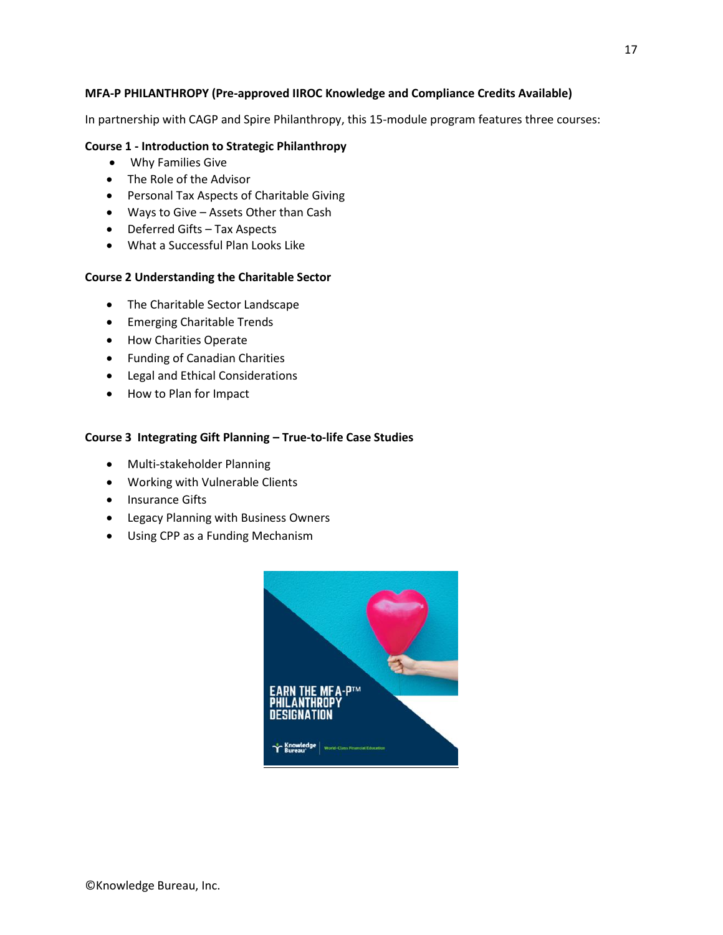## **MFA-P PHILANTHROPY (Pre-approved IIROC Knowledge and Compliance Credits Available)**

In partnership with CAGP and Spire Philanthropy, this 15-module program features three courses:

### **Course 1 - Introduction to Strategic Philanthropy**

- Why Families Give
- The Role of the Advisor
- Personal Tax Aspects of Charitable Giving
- Ways to Give Assets Other than Cash
- Deferred Gifts Tax Aspects
- What a Successful Plan Looks Like

#### **Course 2 Understanding the Charitable Sector**

- The Charitable Sector Landscape
- Emerging Charitable Trends
- How Charities Operate
- Funding of Canadian Charities
- Legal and Ethical Considerations
- How to Plan for Impact

#### **Course 3 Integrating Gift Planning – True-to-life Case Studies**

- Multi-stakeholder Planning
- Working with Vulnerable Clients
- Insurance Gifts
- Legacy Planning with Business Owners
- Using CPP as a Funding Mechanism

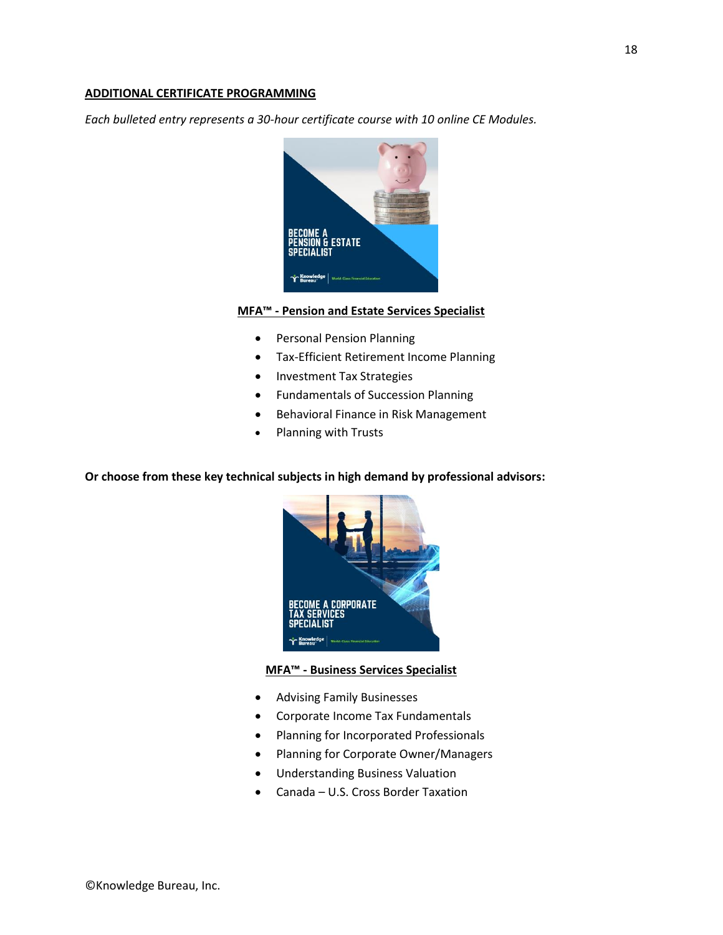#### **ADDITIONAL CERTIFICATE PROGRAMMING**

*Each bulleted entry represents a 30-hour certificate course with 10 online CE Modules.* 



## **MFA™ - Pension and Estate Services Specialist**

- Personal Pension Planning
- Tax-Efficient Retirement Income Planning
- Investment Tax Strategies
- Fundamentals of Succession Planning
- Behavioral Finance in Risk Management
- Planning with Trusts

### **Or choose from these key technical subjects in high demand by professional advisors:**



### **MFA™ - Business Services Specialist**

- Advising Family Businesses
- Corporate Income Tax Fundamentals
- Planning for Incorporated Professionals
- Planning for Corporate Owner/Managers
- Understanding Business Valuation
- Canada U.S. Cross Border Taxation